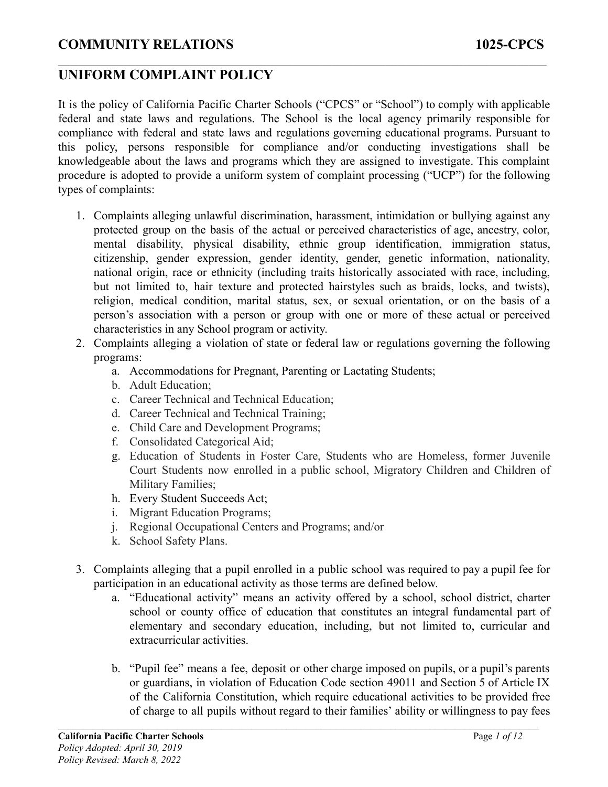## **UNIFORM COMPLAINT POLICY**

It is the policy of California Pacific Charter Schools ("CPCS" or "School") to comply with applicable federal and state laws and regulations. The School is the local agency primarily responsible for compliance with federal and state laws and regulations governing educational programs. Pursuant to this policy, persons responsible for compliance and/or conducting investigations shall be knowledgeable about the laws and programs which they are assigned to investigate. This complaint procedure is adopted to provide a uniform system of complaint processing ("UCP") for the following types of complaints:

 $\mathcal{L}_\mathcal{L} = \{ \mathcal{L}_\mathcal{L} = \{ \mathcal{L}_\mathcal{L} = \{ \mathcal{L}_\mathcal{L} = \{ \mathcal{L}_\mathcal{L} = \{ \mathcal{L}_\mathcal{L} = \{ \mathcal{L}_\mathcal{L} = \{ \mathcal{L}_\mathcal{L} = \{ \mathcal{L}_\mathcal{L} = \{ \mathcal{L}_\mathcal{L} = \{ \mathcal{L}_\mathcal{L} = \{ \mathcal{L}_\mathcal{L} = \{ \mathcal{L}_\mathcal{L} = \{ \mathcal{L}_\mathcal{L} = \{ \mathcal{L}_\mathcal{$ 

- 1. Complaints alleging unlawful discrimination, harassment, intimidation or bullying against any protected group on the basis of the actual or perceived characteristics of age, ancestry, color, mental disability, physical disability, ethnic group identification, immigration status, citizenship, gender expression, gender identity, gender, genetic information, nationality, national origin, race or ethnicity (including traits historically associated with race, including, but not limited to, hair texture and protected hairstyles such as braids, locks, and twists), religion, medical condition, marital status, sex, or sexual orientation, or on the basis of a person's association with a person or group with one or more of these actual or perceived characteristics in any School program or activity.
- 2. Complaints alleging a violation of state or federal law or regulations governing the following programs:
	- a. Accommodations for Pregnant, Parenting or Lactating Students;
	- b. Adult Education;
	- c. Career Technical and Technical Education;
	- d. Career Technical and Technical Training;
	- e. Child Care and Development Programs;
	- f. Consolidated Categorical Aid;
	- g. Education of Students in Foster Care, Students who are Homeless, former Juvenile Court Students now enrolled in a public school, Migratory Children and Children of Military Families;
	- h. Every Student Succeeds Act;
	- i. Migrant Education Programs;
	- j. Regional Occupational Centers and Programs; and/or
	- k. School Safety Plans.
- 3. Complaints alleging that a pupil enrolled in a public school was required to pay a pupil fee for participation in an educational activity as those terms are defined below.
	- a. "Educational activity" means an activity offered by a school, school district, charter school or county office of education that constitutes an integral fundamental part of elementary and secondary education, including, but not limited to, curricular and extracurricular activities.
	- b. "Pupil fee" means a fee, deposit or other charge imposed on pupils, or a pupil's parents or guardians, in violation of Education Code section 49011 and Section 5 of Article IX of the California Constitution, which require educational activities to be provided free of charge to all pupils without regard to their families' ability or willingness to pay fees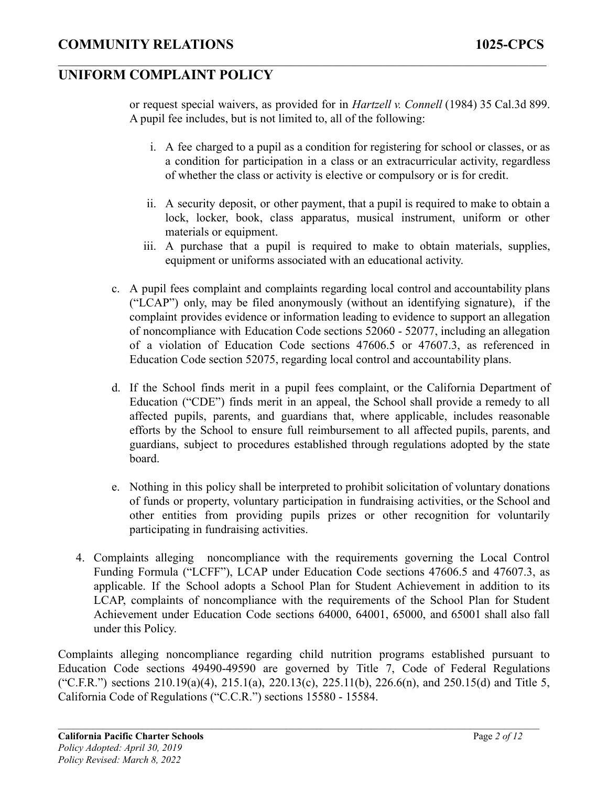or request special waivers, as provided for in *Hartzell v. Connell* (1984) 35 Cal.3d 899. A pupil fee includes, but is not limited to, all of the following:

 $\mathcal{L}_\mathcal{L} = \{ \mathcal{L}_\mathcal{L} = \{ \mathcal{L}_\mathcal{L} = \{ \mathcal{L}_\mathcal{L} = \{ \mathcal{L}_\mathcal{L} = \{ \mathcal{L}_\mathcal{L} = \{ \mathcal{L}_\mathcal{L} = \{ \mathcal{L}_\mathcal{L} = \{ \mathcal{L}_\mathcal{L} = \{ \mathcal{L}_\mathcal{L} = \{ \mathcal{L}_\mathcal{L} = \{ \mathcal{L}_\mathcal{L} = \{ \mathcal{L}_\mathcal{L} = \{ \mathcal{L}_\mathcal{L} = \{ \mathcal{L}_\mathcal{$ 

- i. A fee charged to a pupil as a condition for registering for school or classes, or as a condition for participation in a class or an extracurricular activity, regardless of whether the class or activity is elective or compulsory or is for credit.
- ii. A security deposit, or other payment, that a pupil is required to make to obtain a lock, locker, book, class apparatus, musical instrument, uniform or other materials or equipment.
- iii. A purchase that a pupil is required to make to obtain materials, supplies, equipment or uniforms associated with an educational activity.
- c. A pupil fees complaint and complaints regarding local control and accountability plans ("LCAP") only, may be filed anonymously (without an identifying signature), if the complaint provides evidence or information leading to evidence to support an allegation of noncompliance with Education Code sections 52060 - 52077, including an allegation of a violation of Education Code sections 47606.5 or 47607.3, as referenced in Education Code section 52075, regarding local control and accountability plans.
- d. If the School finds merit in a pupil fees complaint, or the California Department of Education ("CDE") finds merit in an appeal, the School shall provide a remedy to all affected pupils, parents, and guardians that, where applicable, includes reasonable efforts by the School to ensure full reimbursement to all affected pupils, parents, and guardians, subject to procedures established through regulations adopted by the state board.
- e. Nothing in this policy shall be interpreted to prohibit solicitation of voluntary donations of funds or property, voluntary participation in fundraising activities, or the School and other entities from providing pupils prizes or other recognition for voluntarily participating in fundraising activities.
- 4. Complaints alleging noncompliance with the requirements governing the Local Control Funding Formula ("LCFF"), LCAP under Education Code sections 47606.5 and 47607.3, as applicable. If the School adopts a School Plan for Student Achievement in addition to its LCAP, complaints of noncompliance with the requirements of the School Plan for Student Achievement under Education Code sections 64000, 64001, 65000, and 65001 shall also fall under this Policy.

Complaints alleging noncompliance regarding child nutrition programs established pursuant to Education Code sections 49490-49590 are governed by Title 7, Code of Federal Regulations ("C.F.R.") sections  $210.19(a)(4)$ ,  $215.1(a)$ ,  $220.13(c)$ ,  $225.11(b)$ ,  $226.6(n)$ , and  $250.15(d)$  and Title 5, California Code of Regulations ("C.C.R.") sections 15580 - 15584.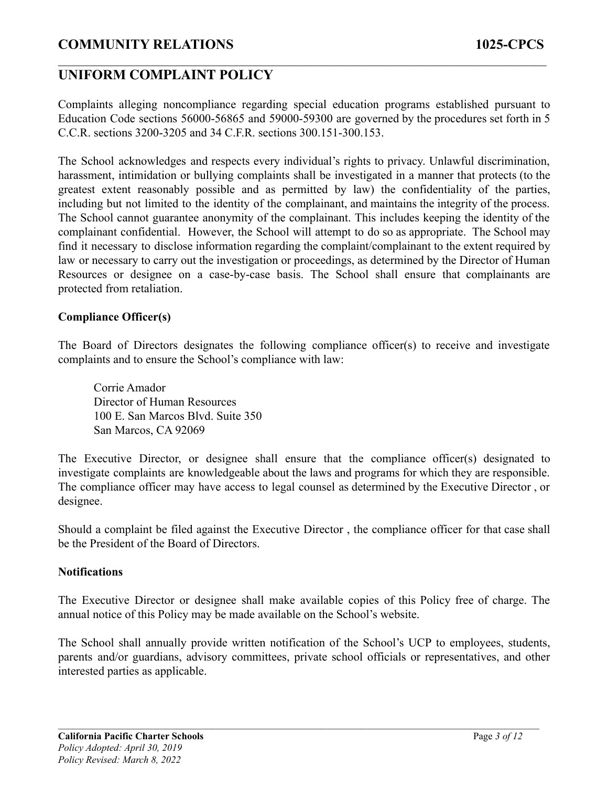## **UNIFORM COMPLAINT POLICY**

Complaints alleging noncompliance regarding special education programs established pursuant to Education Code sections 56000-56865 and 59000-59300 are governed by the procedures set forth in 5 C.C.R. sections 3200-3205 and 34 C.F.R. sections 300.151-300.153.

 $\mathcal{L}_\mathcal{L} = \{ \mathcal{L}_\mathcal{L} = \{ \mathcal{L}_\mathcal{L} = \{ \mathcal{L}_\mathcal{L} = \{ \mathcal{L}_\mathcal{L} = \{ \mathcal{L}_\mathcal{L} = \{ \mathcal{L}_\mathcal{L} = \{ \mathcal{L}_\mathcal{L} = \{ \mathcal{L}_\mathcal{L} = \{ \mathcal{L}_\mathcal{L} = \{ \mathcal{L}_\mathcal{L} = \{ \mathcal{L}_\mathcal{L} = \{ \mathcal{L}_\mathcal{L} = \{ \mathcal{L}_\mathcal{L} = \{ \mathcal{L}_\mathcal{$ 

The School acknowledges and respects every individual's rights to privacy. Unlawful discrimination, harassment, intimidation or bullying complaints shall be investigated in a manner that protects (to the greatest extent reasonably possible and as permitted by law) the confidentiality of the parties, including but not limited to the identity of the complainant, and maintains the integrity of the process. The School cannot guarantee anonymity of the complainant. This includes keeping the identity of the complainant confidential. However, the School will attempt to do so as appropriate. The School may find it necessary to disclose information regarding the complaint/complainant to the extent required by law or necessary to carry out the investigation or proceedings, as determined by the Director of Human Resources or designee on a case-by-case basis. The School shall ensure that complainants are protected from retaliation.

#### **Compliance Officer(s)**

The Board of Directors designates the following compliance officer(s) to receive and investigate complaints and to ensure the School's compliance with law:

Corrie Amador Director of Human Resources 100 E. San Marcos Blvd. Suite 350 San Marcos, CA 92069

The Executive Director, or designee shall ensure that the compliance officer(s) designated to investigate complaints are knowledgeable about the laws and programs for which they are responsible. The compliance officer may have access to legal counsel as determined by the Executive Director , or designee.

Should a complaint be filed against the Executive Director , the compliance officer for that case shall be the President of the Board of Directors.

#### **Notifications**

The Executive Director or designee shall make available copies of this Policy free of charge. The annual notice of this Policy may be made available on the School's website.

The School shall annually provide written notification of the School's UCP to employees, students, parents and/or guardians, advisory committees, private school officials or representatives, and other interested parties as applicable.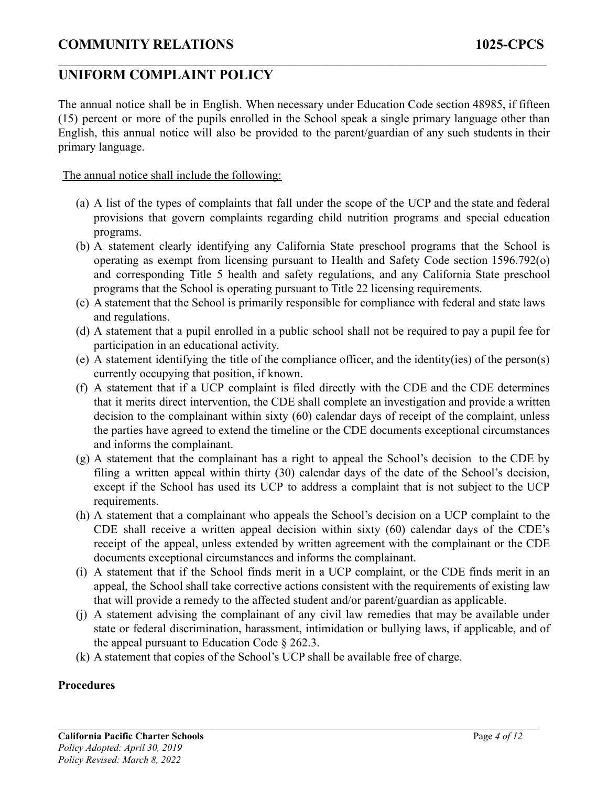## **UNIFORM COMPLAINT POLICY**

The annual notice shall be in English. When necessary under Education Code section 48985, if fifteen (15) percent or more of the pupils enrolled in the School speak a single primary language other than English, this annual notice will also be provided to the parent/guardian of any such students in their primary language.

 $\mathcal{L}_\mathcal{L} = \{ \mathcal{L}_\mathcal{L} = \{ \mathcal{L}_\mathcal{L} = \{ \mathcal{L}_\mathcal{L} = \{ \mathcal{L}_\mathcal{L} = \{ \mathcal{L}_\mathcal{L} = \{ \mathcal{L}_\mathcal{L} = \{ \mathcal{L}_\mathcal{L} = \{ \mathcal{L}_\mathcal{L} = \{ \mathcal{L}_\mathcal{L} = \{ \mathcal{L}_\mathcal{L} = \{ \mathcal{L}_\mathcal{L} = \{ \mathcal{L}_\mathcal{L} = \{ \mathcal{L}_\mathcal{L} = \{ \mathcal{L}_\mathcal{$ 

The annual notice shall include the following:

- (a) A list of the types of complaints that fall under the scope of the UCP and the state and federal provisions that govern complaints regarding child nutrition programs and special education programs.
- (b) A statement clearly identifying any California State preschool programs that the School is operating as exempt from licensing pursuant to Health and Safety Code section 1596.792(o) and corresponding Title 5 health and safety regulations, and any California State preschool programs that the School is operating pursuant to Title 22 licensing requirements.
- (c) A statement that the School is primarily responsible for compliance with federal and state laws and regulations.
- (d) A statement that a pupil enrolled in a public school shall not be required to pay a pupil fee for participation in an educational activity.
- (e) A statement identifying the title of the compliance officer, and the identity(ies) of the person(s) currently occupying that position, if known.
- (f) A statement that if a UCP complaint is filed directly with the CDE and the CDE determines that it merits direct intervention, the CDE shall complete an investigation and provide a written decision to the complainant within sixty (60) calendar days of receipt of the complaint, unless the parties have agreed to extend the timeline or the CDE documents exceptional circumstances and informs the complainant.
- (g) A statement that the complainant has a right to appeal the School's decision to the CDE by filing a written appeal within thirty (30) calendar days of the date of the School's decision, except if the School has used its UCP to address a complaint that is not subject to the UCP requirements.
- (h) A statement that a complainant who appeals the School's decision on a UCP complaint to the CDE shall receive a written appeal decision within sixty (60) calendar days of the CDE's receipt of the appeal, unless extended by written agreement with the complainant or the CDE documents exceptional circumstances and informs the complainant.
- (i) A statement that if the School finds merit in a UCP complaint, or the CDE finds merit in an appeal, the School shall take corrective actions consistent with the requirements of existing law that will provide a remedy to the affected student and/or parent/guardian as applicable.
- (j) A statement advising the complainant of any civil law remedies that may be available under state or federal discrimination, harassment, intimidation or bullying laws, if applicable, and of the appeal pursuant to Education Code § 262.3.

 $\mathcal{L}_\mathcal{L} = \{ \mathcal{L}_\mathcal{L} = \{ \mathcal{L}_\mathcal{L} = \{ \mathcal{L}_\mathcal{L} = \{ \mathcal{L}_\mathcal{L} = \{ \mathcal{L}_\mathcal{L} = \{ \mathcal{L}_\mathcal{L} = \{ \mathcal{L}_\mathcal{L} = \{ \mathcal{L}_\mathcal{L} = \{ \mathcal{L}_\mathcal{L} = \{ \mathcal{L}_\mathcal{L} = \{ \mathcal{L}_\mathcal{L} = \{ \mathcal{L}_\mathcal{L} = \{ \mathcal{L}_\mathcal{L} = \{ \mathcal{L}_\mathcal{$ 

(k) A statement that copies of the School's UCP shall be available free of charge.

### **Procedures**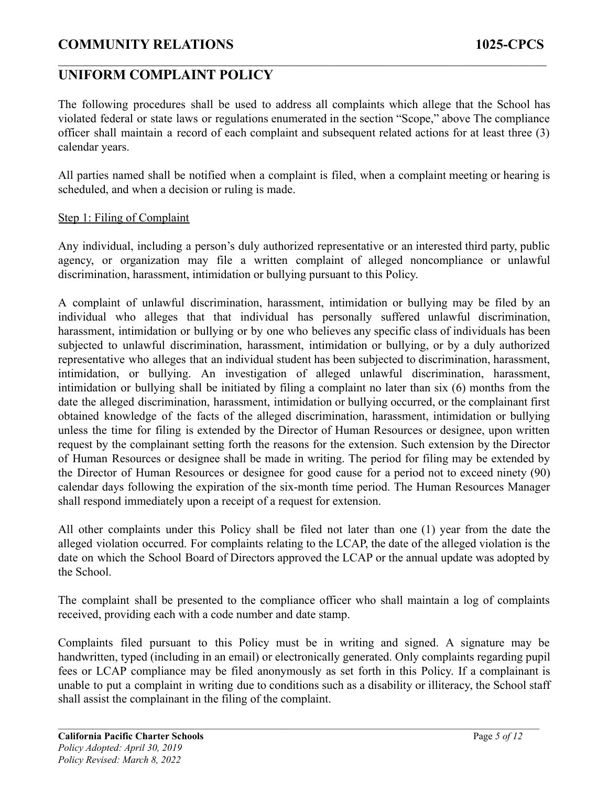## **UNIFORM COMPLAINT POLICY**

The following procedures shall be used to address all complaints which allege that the School has violated federal or state laws or regulations enumerated in the section "Scope," above The compliance officer shall maintain a record of each complaint and subsequent related actions for at least three (3) calendar years.

 $\mathcal{L}_\mathcal{L} = \{ \mathcal{L}_\mathcal{L} = \{ \mathcal{L}_\mathcal{L} = \{ \mathcal{L}_\mathcal{L} = \{ \mathcal{L}_\mathcal{L} = \{ \mathcal{L}_\mathcal{L} = \{ \mathcal{L}_\mathcal{L} = \{ \mathcal{L}_\mathcal{L} = \{ \mathcal{L}_\mathcal{L} = \{ \mathcal{L}_\mathcal{L} = \{ \mathcal{L}_\mathcal{L} = \{ \mathcal{L}_\mathcal{L} = \{ \mathcal{L}_\mathcal{L} = \{ \mathcal{L}_\mathcal{L} = \{ \mathcal{L}_\mathcal{$ 

All parties named shall be notified when a complaint is filed, when a complaint meeting or hearing is scheduled, and when a decision or ruling is made.

#### Step 1: Filing of Complaint

Any individual, including a person's duly authorized representative or an interested third party, public agency, or organization may file a written complaint of alleged noncompliance or unlawful discrimination, harassment, intimidation or bullying pursuant to this Policy.

A complaint of unlawful discrimination, harassment, intimidation or bullying may be filed by an individual who alleges that that individual has personally suffered unlawful discrimination, harassment, intimidation or bullying or by one who believes any specific class of individuals has been subjected to unlawful discrimination, harassment, intimidation or bullying, or by a duly authorized representative who alleges that an individual student has been subjected to discrimination, harassment, intimidation, or bullying. An investigation of alleged unlawful discrimination, harassment, intimidation or bullying shall be initiated by filing a complaint no later than six (6) months from the date the alleged discrimination, harassment, intimidation or bullying occurred, or the complainant first obtained knowledge of the facts of the alleged discrimination, harassment, intimidation or bullying unless the time for filing is extended by the Director of Human Resources or designee, upon written request by the complainant setting forth the reasons for the extension. Such extension by the Director of Human Resources or designee shall be made in writing. The period for filing may be extended by the Director of Human Resources or designee for good cause for a period not to exceed ninety (90) calendar days following the expiration of the six-month time period. The Human Resources Manager shall respond immediately upon a receipt of a request for extension.

All other complaints under this Policy shall be filed not later than one (1) year from the date the alleged violation occurred. For complaints relating to the LCAP, the date of the alleged violation is the date on which the School Board of Directors approved the LCAP or the annual update was adopted by the School.

The complaint shall be presented to the compliance officer who shall maintain a log of complaints received, providing each with a code number and date stamp.

Complaints filed pursuant to this Policy must be in writing and signed. A signature may be handwritten, typed (including in an email) or electronically generated. Only complaints regarding pupil fees or LCAP compliance may be filed anonymously as set forth in this Policy. If a complainant is unable to put a complaint in writing due to conditions such as a disability or illiteracy, the School staff shall assist the complainant in the filing of the complaint.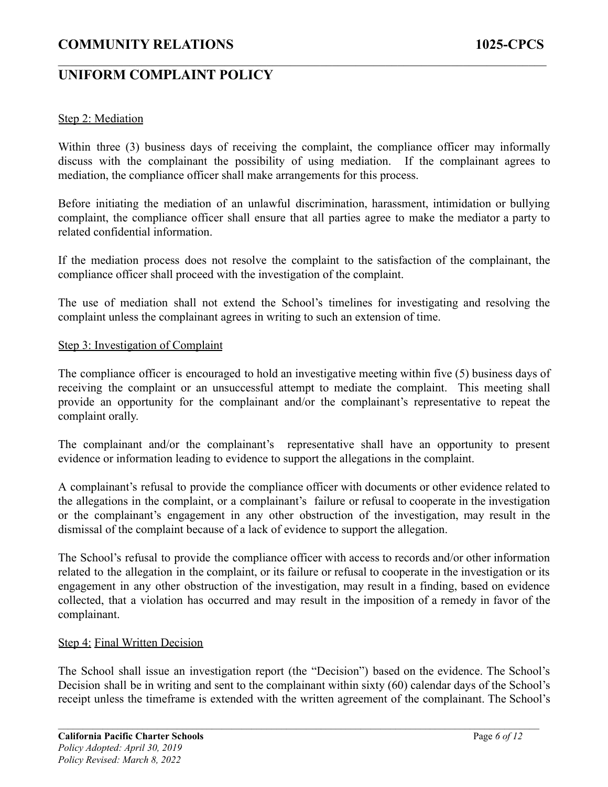## **UNIFORM COMPLAINT POLICY**

### Step 2: Mediation

Within three (3) business days of receiving the complaint, the compliance officer may informally discuss with the complainant the possibility of using mediation. If the complainant agrees to mediation, the compliance officer shall make arrangements for this process.

 $\mathcal{L}_\mathcal{L} = \{ \mathcal{L}_\mathcal{L} = \{ \mathcal{L}_\mathcal{L} = \{ \mathcal{L}_\mathcal{L} = \{ \mathcal{L}_\mathcal{L} = \{ \mathcal{L}_\mathcal{L} = \{ \mathcal{L}_\mathcal{L} = \{ \mathcal{L}_\mathcal{L} = \{ \mathcal{L}_\mathcal{L} = \{ \mathcal{L}_\mathcal{L} = \{ \mathcal{L}_\mathcal{L} = \{ \mathcal{L}_\mathcal{L} = \{ \mathcal{L}_\mathcal{L} = \{ \mathcal{L}_\mathcal{L} = \{ \mathcal{L}_\mathcal{$ 

Before initiating the mediation of an unlawful discrimination, harassment, intimidation or bullying complaint, the compliance officer shall ensure that all parties agree to make the mediator a party to related confidential information.

If the mediation process does not resolve the complaint to the satisfaction of the complainant, the compliance officer shall proceed with the investigation of the complaint.

The use of mediation shall not extend the School's timelines for investigating and resolving the complaint unless the complainant agrees in writing to such an extension of time.

#### Step 3: Investigation of Complaint

The compliance officer is encouraged to hold an investigative meeting within five (5) business days of receiving the complaint or an unsuccessful attempt to mediate the complaint. This meeting shall provide an opportunity for the complainant and/or the complainant's representative to repeat the complaint orally.

The complainant and/or the complainant's representative shall have an opportunity to present evidence or information leading to evidence to support the allegations in the complaint.

A complainant's refusal to provide the compliance officer with documents or other evidence related to the allegations in the complaint, or a complainant's failure or refusal to cooperate in the investigation or the complainant's engagement in any other obstruction of the investigation, may result in the dismissal of the complaint because of a lack of evidence to support the allegation.

The School's refusal to provide the compliance officer with access to records and/or other information related to the allegation in the complaint, or its failure or refusal to cooperate in the investigation or its engagement in any other obstruction of the investigation, may result in a finding, based on evidence collected, that a violation has occurred and may result in the imposition of a remedy in favor of the complainant.

#### Step 4: Final Written Decision

The School shall issue an investigation report (the "Decision") based on the evidence. The School's Decision shall be in writing and sent to the complainant within sixty (60) calendar days of the School's receipt unless the timeframe is extended with the written agreement of the complainant. The School's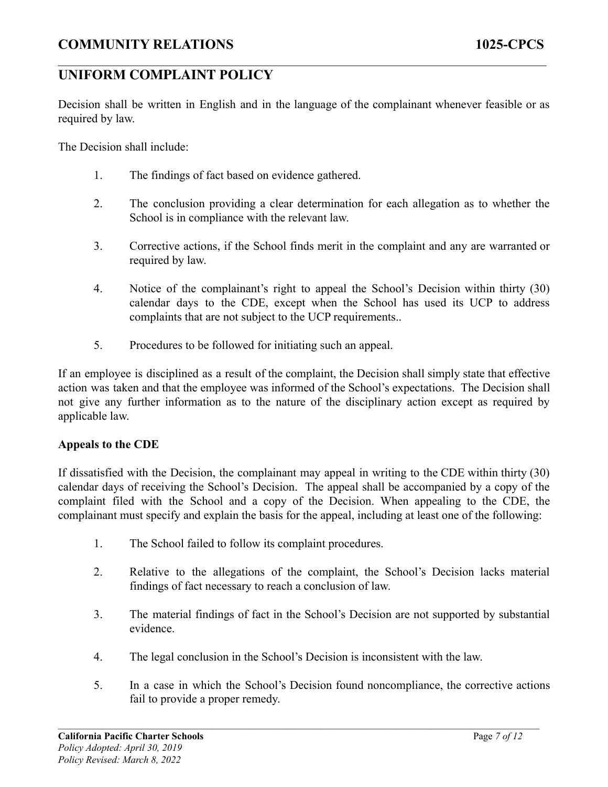## **UNIFORM COMPLAINT POLICY**

Decision shall be written in English and in the language of the complainant whenever feasible or as required by law.

 $\mathcal{L}_\mathcal{L} = \{ \mathcal{L}_\mathcal{L} = \{ \mathcal{L}_\mathcal{L} = \{ \mathcal{L}_\mathcal{L} = \{ \mathcal{L}_\mathcal{L} = \{ \mathcal{L}_\mathcal{L} = \{ \mathcal{L}_\mathcal{L} = \{ \mathcal{L}_\mathcal{L} = \{ \mathcal{L}_\mathcal{L} = \{ \mathcal{L}_\mathcal{L} = \{ \mathcal{L}_\mathcal{L} = \{ \mathcal{L}_\mathcal{L} = \{ \mathcal{L}_\mathcal{L} = \{ \mathcal{L}_\mathcal{L} = \{ \mathcal{L}_\mathcal{$ 

The Decision shall include:

- 1. The findings of fact based on evidence gathered.
- 2. The conclusion providing a clear determination for each allegation as to whether the School is in compliance with the relevant law.
- 3. Corrective actions, if the School finds merit in the complaint and any are warranted or required by law.
- 4. Notice of the complainant's right to appeal the School's Decision within thirty (30) calendar days to the CDE, except when the School has used its UCP to address complaints that are not subject to the UCP requirements..
- 5. Procedures to be followed for initiating such an appeal.

If an employee is disciplined as a result of the complaint, the Decision shall simply state that effective action was taken and that the employee was informed of the School's expectations. The Decision shall not give any further information as to the nature of the disciplinary action except as required by applicable law.

#### **Appeals to the CDE**

If dissatisfied with the Decision, the complainant may appeal in writing to the CDE within thirty (30) calendar days of receiving the School's Decision. The appeal shall be accompanied by a copy of the complaint filed with the School and a copy of the Decision. When appealing to the CDE, the complainant must specify and explain the basis for the appeal, including at least one of the following:

- 1. The School failed to follow its complaint procedures.
- 2. Relative to the allegations of the complaint, the School's Decision lacks material findings of fact necessary to reach a conclusion of law.
- 3. The material findings of fact in the School's Decision are not supported by substantial evidence.
- 4. The legal conclusion in the School's Decision is inconsistent with the law.

 $\mathcal{L}_\mathcal{L} = \{ \mathcal{L}_\mathcal{L} = \{ \mathcal{L}_\mathcal{L} = \{ \mathcal{L}_\mathcal{L} = \{ \mathcal{L}_\mathcal{L} = \{ \mathcal{L}_\mathcal{L} = \{ \mathcal{L}_\mathcal{L} = \{ \mathcal{L}_\mathcal{L} = \{ \mathcal{L}_\mathcal{L} = \{ \mathcal{L}_\mathcal{L} = \{ \mathcal{L}_\mathcal{L} = \{ \mathcal{L}_\mathcal{L} = \{ \mathcal{L}_\mathcal{L} = \{ \mathcal{L}_\mathcal{L} = \{ \mathcal{L}_\mathcal{$ 

5. In a case in which the School's Decision found noncompliance, the corrective actions fail to provide a proper remedy.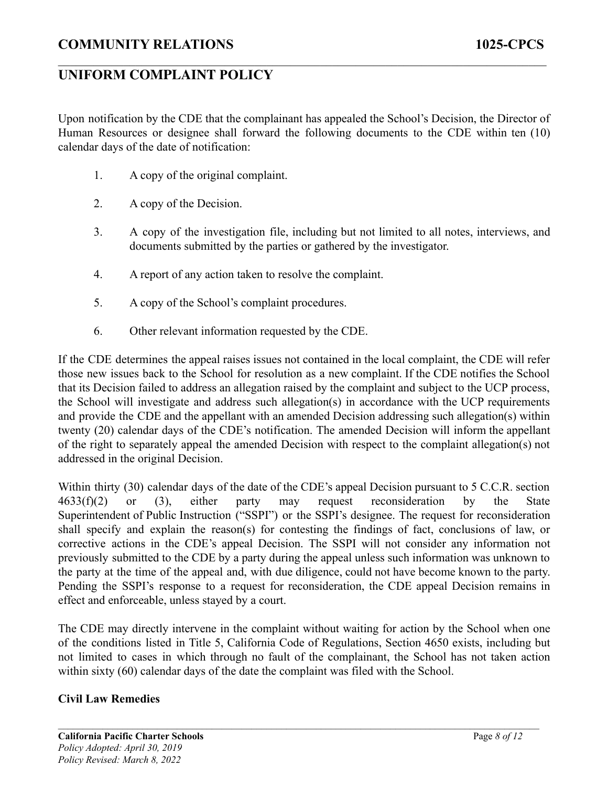Upon notification by the CDE that the complainant has appealed the School's Decision, the Director of Human Resources or designee shall forward the following documents to the CDE within ten (10) calendar days of the date of notification:

 $\mathcal{L}_\mathcal{L} = \{ \mathcal{L}_\mathcal{L} = \{ \mathcal{L}_\mathcal{L} = \{ \mathcal{L}_\mathcal{L} = \{ \mathcal{L}_\mathcal{L} = \{ \mathcal{L}_\mathcal{L} = \{ \mathcal{L}_\mathcal{L} = \{ \mathcal{L}_\mathcal{L} = \{ \mathcal{L}_\mathcal{L} = \{ \mathcal{L}_\mathcal{L} = \{ \mathcal{L}_\mathcal{L} = \{ \mathcal{L}_\mathcal{L} = \{ \mathcal{L}_\mathcal{L} = \{ \mathcal{L}_\mathcal{L} = \{ \mathcal{L}_\mathcal{$ 

- 1. A copy of the original complaint.
- 2. A copy of the Decision.
- 3. A copy of the investigation file, including but not limited to all notes, interviews, and documents submitted by the parties or gathered by the investigator.
- 4. A report of any action taken to resolve the complaint.
- 5. A copy of the School's complaint procedures.
- 6. Other relevant information requested by the CDE.

If the CDE determines the appeal raises issues not contained in the local complaint, the CDE will refer those new issues back to the School for resolution as a new complaint. If the CDE notifies the School that its Decision failed to address an allegation raised by the complaint and subject to the UCP process, the School will investigate and address such allegation(s) in accordance with the UCP requirements and provide the CDE and the appellant with an amended Decision addressing such allegation(s) within twenty (20) calendar days of the CDE's notification. The amended Decision will inform the appellant of the right to separately appeal the amended Decision with respect to the complaint allegation(s) not addressed in the original Decision.

Within thirty (30) calendar days of the date of the CDE's appeal Decision pursuant to 5 C.C.R. section 4633(f)(2) or (3), either party may request reconsideration by the State Superintendent of Public Instruction ("SSPI") or the SSPI's designee. The request for reconsideration shall specify and explain the reason(s) for contesting the findings of fact, conclusions of law, or corrective actions in the CDE's appeal Decision. The SSPI will not consider any information not previously submitted to the CDE by a party during the appeal unless such information was unknown to the party at the time of the appeal and, with due diligence, could not have become known to the party. Pending the SSPI's response to a request for reconsideration, the CDE appeal Decision remains in effect and enforceable, unless stayed by a court.

The CDE may directly intervene in the complaint without waiting for action by the School when one of the conditions listed in Title 5, California Code of Regulations, Section 4650 exists, including but not limited to cases in which through no fault of the complainant, the School has not taken action within sixty (60) calendar days of the date the complaint was filed with the School.

 $\mathcal{L}_\mathcal{L} = \{ \mathcal{L}_\mathcal{L} = \{ \mathcal{L}_\mathcal{L} = \{ \mathcal{L}_\mathcal{L} = \{ \mathcal{L}_\mathcal{L} = \{ \mathcal{L}_\mathcal{L} = \{ \mathcal{L}_\mathcal{L} = \{ \mathcal{L}_\mathcal{L} = \{ \mathcal{L}_\mathcal{L} = \{ \mathcal{L}_\mathcal{L} = \{ \mathcal{L}_\mathcal{L} = \{ \mathcal{L}_\mathcal{L} = \{ \mathcal{L}_\mathcal{L} = \{ \mathcal{L}_\mathcal{L} = \{ \mathcal{L}_\mathcal{$ 

### **Civil Law Remedies**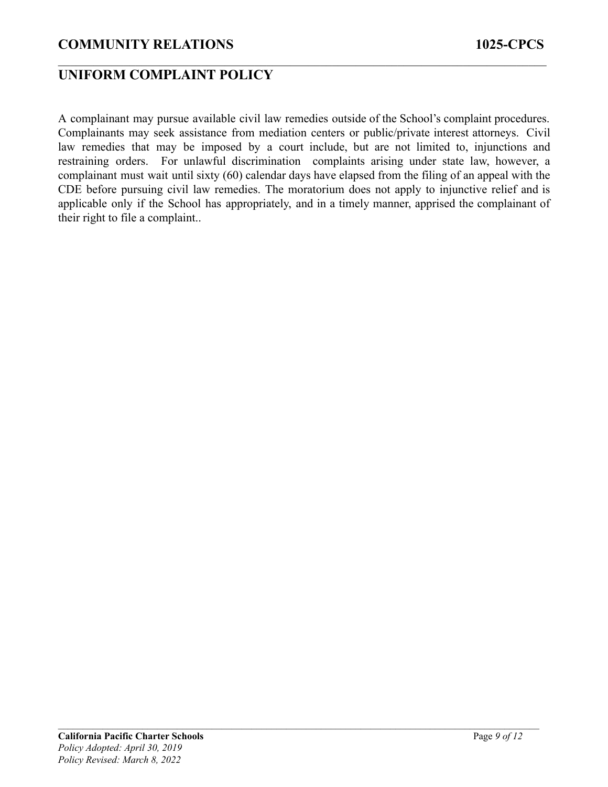## **UNIFORM COMPLAINT POLICY**

A complainant may pursue available civil law remedies outside of the School's complaint procedures. Complainants may seek assistance from mediation centers or public/private interest attorneys. Civil law remedies that may be imposed by a court include, but are not limited to, injunctions and restraining orders. For unlawful discrimination complaints arising under state law, however, a complainant must wait until sixty (60) calendar days have elapsed from the filing of an appeal with the CDE before pursuing civil law remedies. The moratorium does not apply to injunctive relief and is applicable only if the School has appropriately, and in a timely manner, apprised the complainant of their right to file a complaint..

 $\mathcal{L}_\mathcal{L} = \{ \mathcal{L}_\mathcal{L} = \{ \mathcal{L}_\mathcal{L} = \{ \mathcal{L}_\mathcal{L} = \{ \mathcal{L}_\mathcal{L} = \{ \mathcal{L}_\mathcal{L} = \{ \mathcal{L}_\mathcal{L} = \{ \mathcal{L}_\mathcal{L} = \{ \mathcal{L}_\mathcal{L} = \{ \mathcal{L}_\mathcal{L} = \{ \mathcal{L}_\mathcal{L} = \{ \mathcal{L}_\mathcal{L} = \{ \mathcal{L}_\mathcal{L} = \{ \mathcal{L}_\mathcal{L} = \{ \mathcal{L}_\mathcal{$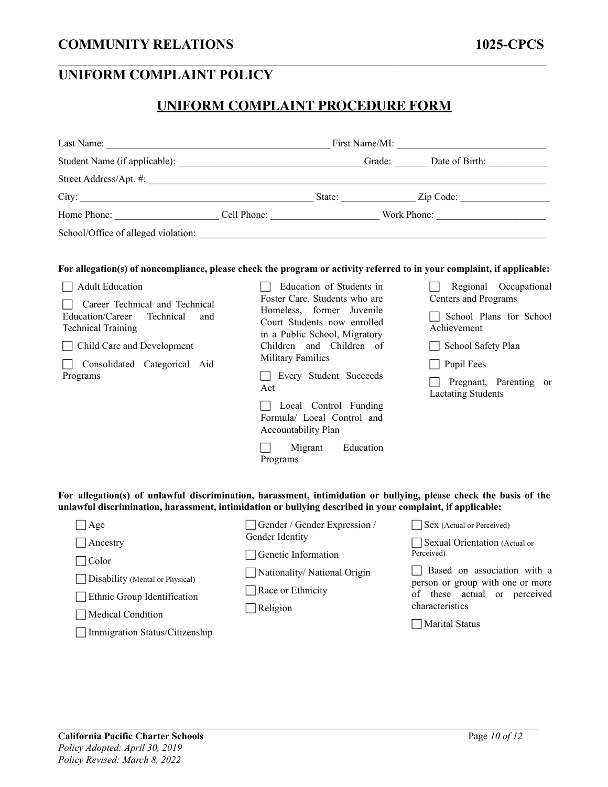# **UNIFORM COMPLAINT PROCEDURE FORM**

 $\mathcal{L}_\mathcal{L} = \{ \mathcal{L}_\mathcal{L} = \{ \mathcal{L}_\mathcal{L} = \{ \mathcal{L}_\mathcal{L} = \{ \mathcal{L}_\mathcal{L} = \{ \mathcal{L}_\mathcal{L} = \{ \mathcal{L}_\mathcal{L} = \{ \mathcal{L}_\mathcal{L} = \{ \mathcal{L}_\mathcal{L} = \{ \mathcal{L}_\mathcal{L} = \{ \mathcal{L}_\mathcal{L} = \{ \mathcal{L}_\mathcal{L} = \{ \mathcal{L}_\mathcal{L} = \{ \mathcal{L}_\mathcal{L} = \{ \mathcal{L}_\mathcal{$ 

|                                                                                                                                                                                                                | School/Office of alleged violation:                                                                                                                                                                                                                                                                                                                                       |                                                                                                                                                                                    |  |
|----------------------------------------------------------------------------------------------------------------------------------------------------------------------------------------------------------------|---------------------------------------------------------------------------------------------------------------------------------------------------------------------------------------------------------------------------------------------------------------------------------------------------------------------------------------------------------------------------|------------------------------------------------------------------------------------------------------------------------------------------------------------------------------------|--|
| <b>Adult Education</b><br>Career Technical and Technical<br>Education/Career<br>Technical<br>and<br><b>Technical Training</b><br>$\Box$ Child Care and Development<br>Consolidated Categorical Aid<br>Programs | For allegation(s) of noncompliance, please check the program or activity referred to in your complaint, if applicable:<br>Education of Students in<br>Foster Care, Students who are<br>Homeless, former Juvenile<br>Court Students now enrolled<br>in a Public School, Migratory<br>Children and Children of<br><b>Military Families</b><br>Every Student Succeeds<br>Act | Regional Occupational<br>Centers and Programs<br>School Plans for School<br>Achievement<br>School Safety Plan<br>Pupil Fees<br>Pregnant, Parenting or<br><b>Lactating Students</b> |  |
|                                                                                                                                                                                                                | Local Control Funding<br>Formula/ Local Control and<br>Accountability Plan                                                                                                                                                                                                                                                                                                |                                                                                                                                                                                    |  |
|                                                                                                                                                                                                                | Migrant<br>Education<br>Programs                                                                                                                                                                                                                                                                                                                                          |                                                                                                                                                                                    |  |

**For allegation(s) of unlawful discrimination, harassment, intimidation or bullying, please check the basis of the unlawful discrimination, harassment, intimidation or bullying described in your complaint, if applicable:**

| $\Box$ Age                        | Gender / Gender Expression / | Sex (Actual or Perceived)                                       |
|-----------------------------------|------------------------------|-----------------------------------------------------------------|
| $\Box$ Ancestry                   | Gender Identity              | Sexual Orientation (Actual or                                   |
| Color                             | $\Box$ Genetic Information   | Perceived)                                                      |
| □ Disability (Mental or Physical) | Nationality/National Origin  | Based on association with a<br>person or group with one or more |
| Ethnic Group Identification       | $\Box$ Race or Ethnicity     | of these actual or perceived                                    |
| Medical Condition                 | $\Box$ Religion              | characteristics                                                 |
| Immigration Status/Citizenship    |                              | Marital Status                                                  |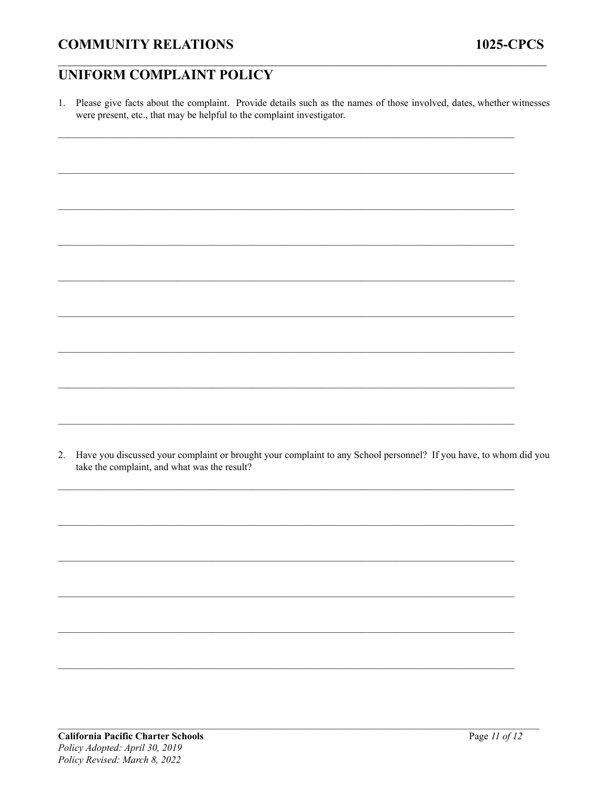1. Please give facts about the complaint. Provide details such as the names of those involved, dates, whether witnesses were present, etc., that may be helpful to the complaint investigator.

2. Have you discussed your complaint or brought your complaint to any School personnel? If you have, to whom did you take the complaint, and what was the result?